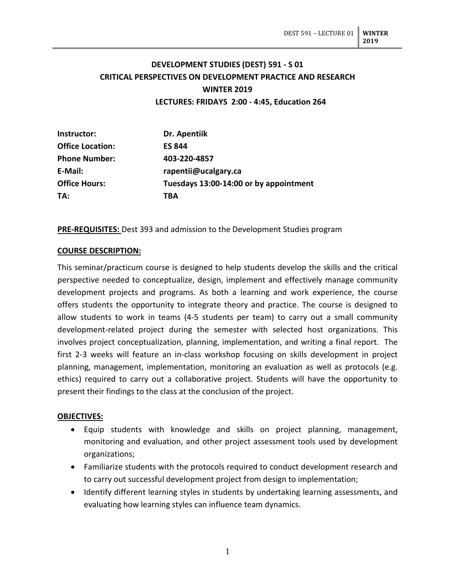# **DEVELOPMENT STUDIES (DEST) 591 - S 01 CRITICAL PERSPECTIVES ON DEVELOPMENT PRACTICE AND RESEARCH WINTER 2019 LECTURES: FRIDAYS 2:00 - 4:45, Education 264**

| Instructor:             | Dr. Apentiik                           |
|-------------------------|----------------------------------------|
| <b>Office Location:</b> | <b>ES 844</b>                          |
| <b>Phone Number:</b>    | 403-220-4857                           |
| E-Mail:                 | rapentii@ucalgary.ca                   |
| <b>Office Hours:</b>    | Tuesdays 13:00-14:00 or by appointment |
| TA:                     | TBA                                    |

**PRE-REQUISITES:** Dest 393 and admission to the Development Studies program

#### **COURSE DESCRIPTION:**

This seminar/practicum course is designed to help students develop the skills and the critical perspective needed to conceptualize, design, implement and effectively manage community development projects and programs. As both a learning and work experience, the course offers students the opportunity to integrate theory and practice. The course is designed to allow students to work in teams (4-5 students per team) to carry out a small community development-related project during the semester with selected host organizations. This involves project conceptualization, planning, implementation, and writing a final report. The first 2-3 weeks will feature an in-class workshop focusing on skills development in project planning, management, implementation, monitoring an evaluation as well as protocols (e.g. ethics) required to carry out a collaborative project. Students will have the opportunity to present their findings to the class at the conclusion of the project.

#### **OBJECTIVES:**

- Equip students with knowledge and skills on project planning, management, monitoring and evaluation, and other project assessment tools used by development organizations;
- Familiarize students with the protocols required to conduct development research and to carry out successful development project from design to implementation;
- Identify different learning styles in students by undertaking learning assessments, and evaluating how learning styles can influence team dynamics.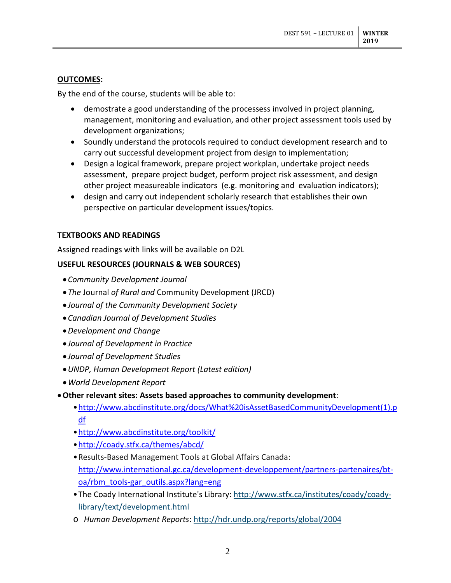## **OUTCOMES:**

By the end of the course, students will be able to:

- demostrate a good understanding of the processess involved in project planning, management, monitoring and evaluation, and other project assessment tools used by development organizations;
- Soundly understand the protocols required to conduct development research and to carry out successful development project from design to implementation;
- Design a logical framework, prepare project workplan, undertake project needs assessment, prepare project budget, perform project risk assessment, and design other project measureable indicators (e.g. monitoring and evaluation indicators);
- design and carry out independent scholarly research that establishes their own perspective on particular development issues/topics.

### **TEXTBOOKS AND READINGS**

Assigned readings with links will be available on D2L

### **USEFUL RESOURCES (JOURNALS & WEB SOURCES)**

- •*Community Development Journal*
- *The* Journal *of Rural and* Community Development (JRCD)
- *Journal of the Community Development Society*
- •*Canadian Journal of Development Studies*
- •*Development and Change*
- *Journal of Development in Practice*
- *Journal of Development Studies*
- •*UNDP, Human Development Report (Latest edition)*
- •*World Development Report*
- •**Other relevant sites: Assets based approaches to community development**:
	- [•http://www.abcdinstitute.org/docs/What%20isAssetBasedCommunityDevelopment\(1\).p](http://www.abcdinstitute.org/docs/What%20isAssetBasedCommunityDevelopment(1).pdf) [df](http://www.abcdinstitute.org/docs/What%20isAssetBasedCommunityDevelopment(1).pdf)
	- [•http://www.abcdinstitute.org/toolkit/](http://www.abcdinstitute.org/toolkit/)
	- [•http://coady.stfx.ca/themes/abcd/](http://coady.stfx.ca/themes/abcd/)
	- •Results-Based Management Tools at Global Affairs Canada: [http://www.international.gc.ca/development-developpement/partners-partenaires/bt](http://www.international.gc.ca/development-developpement/partners-partenaires/bt-oa/rbm_tools-gar_outils.aspx?lang=eng)[oa/rbm\\_tools-gar\\_outils.aspx?lang=eng](http://www.international.gc.ca/development-developpement/partners-partenaires/bt-oa/rbm_tools-gar_outils.aspx?lang=eng)
	- •The Coady International Institute's Library: [http://www.stfx.ca/institutes/coady/coady](http://www.stfx.ca/institutes/coady/coady-library/text/development.html)[library/text/development.html](http://www.stfx.ca/institutes/coady/coady-library/text/development.html)
	- o *Human Development Reports*:<http://hdr.undp.org/reports/global/2004>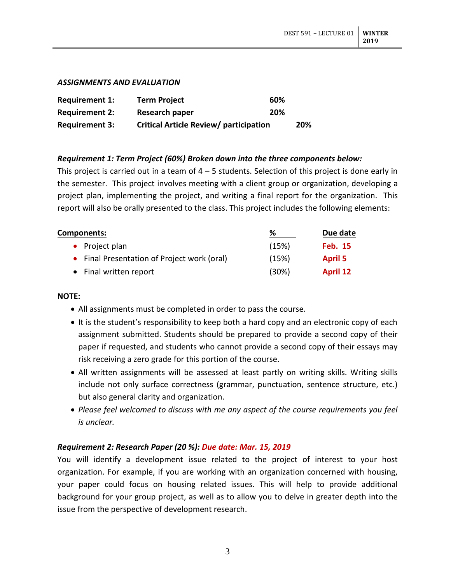#### *ASSIGNMENTS AND EVALUATION*

| <b>Requirement 1:</b> | <b>Term Project</b>                           | 60% |            |
|-----------------------|-----------------------------------------------|-----|------------|
| <b>Requirement 2:</b> | Research paper                                | 20% |            |
| <b>Requirement 3:</b> | <b>Critical Article Review/ participation</b> |     | <b>20%</b> |

### *Requirement 1: Term Project (60%) Broken down into the three components below:*

This project is carried out in a team of  $4 - 5$  students. Selection of this project is done early in the semester. This project involves meeting with a client group or organization, developing a project plan, implementing the project, and writing a final report for the organization. This report will also be orally presented to the class. This project includes the following elements:

| Components:                                 | ℅     | Due date        |
|---------------------------------------------|-------|-----------------|
| • Project plan                              | (15%) | <b>Feb. 15</b>  |
| • Final Presentation of Project work (oral) | (15%) | <b>April 5</b>  |
| • Final written report                      | (30%) | <b>April 12</b> |

#### **NOTE:**

- All assignments must be completed in order to pass the course.
- It is the student's responsibility to keep both a hard copy and an electronic copy of each assignment submitted. Students should be prepared to provide a second copy of their paper if requested, and students who cannot provide a second copy of their essays may risk receiving a zero grade for this portion of the course.
- All written assignments will be assessed at least partly on writing skills. Writing skills include not only surface correctness (grammar, punctuation, sentence structure, etc.) but also general clarity and organization.
- *Please feel welcomed to discuss with me any aspect of the course requirements you feel is unclear.*

### *Requirement 2: Research Paper (20 %): Due date: Mar. 15, 2019*

You will identify a development issue related to the project of interest to your host organization. For example, if you are working with an organization concerned with housing, your paper could focus on housing related issues. This will help to provide additional background for your group project, as well as to allow you to delve in greater depth into the issue from the perspective of development research.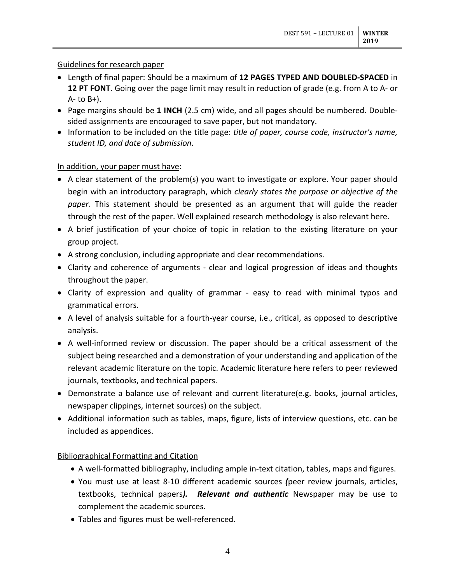## Guidelines for research paper

- Length of final paper: Should be a maximum of **12 PAGES TYPED AND DOUBLED-SPACED** in **12 PT FONT**. Going over the page limit may result in reduction of grade (e.g. from A to A- or  $A-$  to  $B+$ ).
- Page margins should be **1 INCH** (2.5 cm) wide, and all pages should be numbered. Doublesided assignments are encouraged to save paper, but not mandatory.
- Information to be included on the title page: *title of paper, course code, instructor's name, student ID, and date of submission*.

## In addition, your paper must have:

- A clear statement of the problem(s) you want to investigate or explore. Your paper should begin with an introductory paragraph, which *clearly states the purpose or objective of the paper*. This statement should be presented as an argument that will guide the reader through the rest of the paper. Well explained research methodology is also relevant here.
- A brief justification of your choice of topic in relation to the existing literature on your group project.
- A strong conclusion, including appropriate and clear recommendations.
- Clarity and coherence of arguments clear and logical progression of ideas and thoughts throughout the paper.
- Clarity of expression and quality of grammar easy to read with minimal typos and grammatical errors.
- A level of analysis suitable for a fourth-year course, i.e., critical, as opposed to descriptive analysis.
- A well-informed review or discussion. The paper should be a critical assessment of the subject being researched and a demonstration of your understanding and application of the relevant academic literature on the topic. Academic literature here refers to peer reviewed journals, textbooks, and technical papers.
- Demonstrate a balance use of relevant and current literature(e.g. books, journal articles, newspaper clippings, internet sources) on the subject.
- Additional information such as tables, maps, figure, lists of interview questions, etc. can be included as appendices.

### Bibliographical Formatting and Citation

- A well-formatted bibliography, including ample in-text citation, tables, maps and figures.
- You must use at least 8-10 different academic sources *(*peer review journals, articles, textbooks, technical papers*). Relevant and authentic* Newspaper may be use to complement the academic sources.
- Tables and figures must be well-referenced.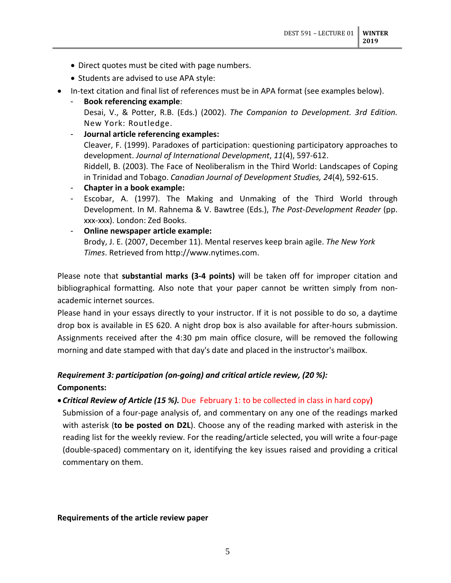- Direct quotes must be cited with page numbers.
- Students are advised to use APA style:
- In-text citation and final list of references must be in APA format (see examples below).
	- **Book referencing example**:

Desai, V., & Potter, R.B. (Eds.) (2002). *The Companion to Development. 3rd Edition.*  New York: Routledge.

- **Journal article referencing examples:**

Cleaver, F. (1999). Paradoxes of participation: questioning participatory approaches to development. *Journal of International Development*, *11*(4), 597-612. Riddell, B. (2003). The Face of Neoliberalism in the Third World: Landscapes of Coping in Trinidad and Tobago. *Canadian Journal of Development Studies, 24*(4), 592-615.

- **Chapter in a book example:**
- Escobar, A. (1997). The Making and Unmaking of the Third World through Development. In M. Rahnema & V. Bawtree (Eds.), *The Post-Development Reader* (pp. xxx-xxx). London: Zed Books.
- **Online newspaper article example:** Brody, J. E. (2007, December 11). Mental reserves keep brain agile. *The New York Times*. Retrieved from http://www.nytimes.com.

Please note that **substantial marks (3-4 points)** will be taken off for improper citation and bibliographical formatting. Also note that your paper cannot be written simply from nonacademic internet sources.

Please hand in your essays directly to your instructor. If it is not possible to do so, a daytime drop box is available in ES 620. A night drop box is also available for after-hours submission. Assignments received after the 4:30 pm main office closure, will be removed the following morning and date stamped with that day's date and placed in the instructor's mailbox.

# *Requirement 3: participation (on-going) and critical article review, (20 %):*

**Components:**

• *Critical Review of Article (15 %).* Due February 1: to be collected in class in hard copy**)**

Submission of a four-page analysis of, and commentary on any one of the readings marked with asterisk (**to be posted on D2L**). Choose any of the reading marked with asterisk in the reading list for the weekly review. For the reading/article selected, you will write a four-page (double-spaced) commentary on it, identifying the key issues raised and providing a critical commentary on them.

### **Requirements of the article review paper**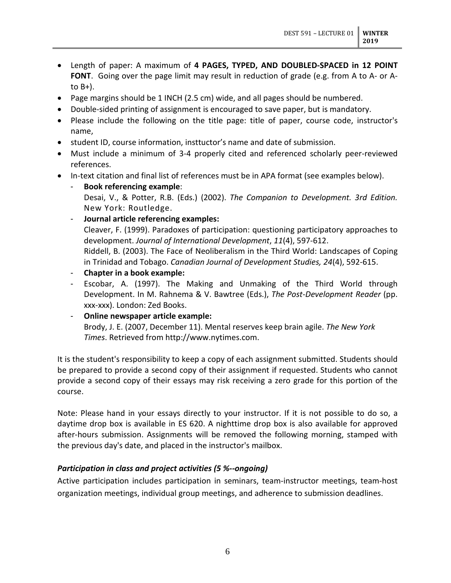- Length of paper: A maximum of **4 PAGES, TYPED, AND DOUBLED-SPACED in 12 POINT FONT**. Going over the page limit may result in reduction of grade (e.g. from A to A- or Ato  $B+$ ).
- Page margins should be 1 INCH (2.5 cm) wide, and all pages should be numbered.
- Double-sided printing of assignment is encouraged to save paper, but is mandatory.
- Please include the following on the title page: title of paper, course code, instructor's name,
- student ID, course information, insttuctor's name and date of submission.
- Must include a minimum of 3-4 properly cited and referenced scholarly peer-reviewed references.
- In-text citation and final list of references must be in APA format (see examples below).
	- **Book referencing example**: Desai, V., & Potter, R.B. (Eds.) (2002). *The Companion to Development. 3rd Edition.*  New York: Routledge.
	- **Journal article referencing examples:**

Cleaver, F. (1999). Paradoxes of participation: questioning participatory approaches to development. *Journal of International Development*, *11*(4), 597-612. Riddell, B. (2003). The Face of Neoliberalism in the Third World: Landscapes of Coping in Trinidad and Tobago. *Canadian Journal of Development Studies, 24*(4), 592-615.

- **Chapter in a book example:**
- Escobar, A. (1997). The Making and Unmaking of the Third World through Development. In M. Rahnema & V. Bawtree (Eds.), *The Post-Development Reader* (pp. xxx-xxx). London: Zed Books.
- **Online newspaper article example:**

Brody, J. E. (2007, December 11). Mental reserves keep brain agile. *The New York Times*. Retrieved from http://www.nytimes.com.

It is the student's responsibility to keep a copy of each assignment submitted. Students should be prepared to provide a second copy of their assignment if requested. Students who cannot provide a second copy of their essays may risk receiving a zero grade for this portion of the course.

Note: Please hand in your essays directly to your instructor. If it is not possible to do so, a daytime drop box is available in ES 620. A nighttime drop box is also available for approved after-hours submission. Assignments will be removed the following morning, stamped with the previous day's date, and placed in the instructor's mailbox.

### *Participation in class and project activities (5 %--ongoing)*

Active participation includes participation in seminars, team-instructor meetings, team-host organization meetings, individual group meetings, and adherence to submission deadlines.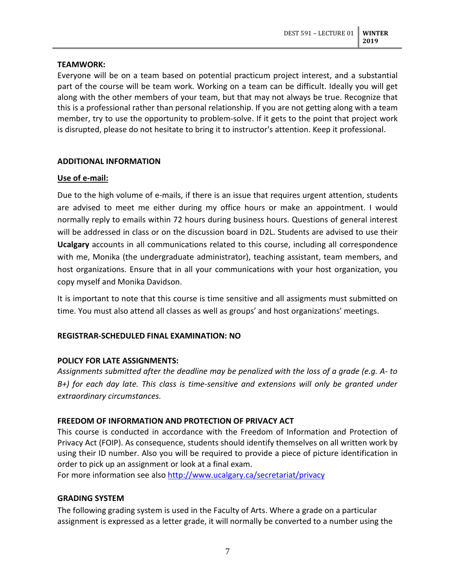#### **TEAMWORK:**

Everyone will be on a team based on potential practicum project interest, and a substantial part of the course will be team work. Working on a team can be difficult. Ideally you will get along with the other members of your team, but that may not always be true. Recognize that this is a professional rather than personal relationship. If you are not getting along with a team member, try to use the opportunity to problem-solve. If it gets to the point that project work is disrupted, please do not hesitate to bring it to instructor's attention. Keep it professional.

### **ADDITIONAL INFORMATION**

### **Use of e-mail:**

Due to the high volume of e-mails, if there is an issue that requires urgent attention, students are advised to meet me either during my office hours or make an appointment. I would normally reply to emails within 72 hours during business hours. Questions of general interest will be addressed in class or on the discussion board in D2L. Students are advised to use their **Ucalgary** accounts in all communications related to this course, including all correspondence with me, Monika (the undergraduate administrator), teaching assistant, team members, and host organizations. Ensure that in all your communications with your host organization, you copy myself and Monika Davidson.

It is important to note that this course is time sensitive and all assigments must submitted on time. You must also attend all classes as well as groups' and host organizations' meetings.

### **REGISTRAR-SCHEDULED FINAL EXAMINATION: NO**

#### **POLICY FOR LATE ASSIGNMENTS:**

*Assignments submitted after the deadline may be penalized with the loss of a grade (e.g. A- to B+) for each day late. This class is time-sensitive and extensions will only be granted under extraordinary circumstances.*

## **FREEDOM OF INFORMATION AND PROTECTION OF PRIVACY ACT**

This course is conducted in accordance with the Freedom of Information and Protection of Privacy Act (FOIP). As consequence, students should identify themselves on all written work by using their ID number. Also you will be required to provide a piece of picture identification in order to pick up an assignment or look at a final exam.

For more information see also<http://www.ucalgary.ca/secretariat/privacy>

#### **GRADING SYSTEM**

The following grading system is used in the Faculty of Arts. Where a grade on a particular assignment is expressed as a letter grade, it will normally be converted to a number using the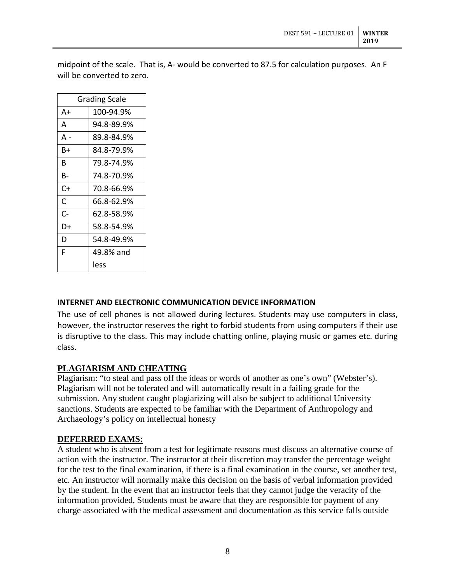midpoint of the scale. That is, A- would be converted to 87.5 for calculation purposes. An F will be converted to zero.

| <b>Grading Scale</b> |            |  |
|----------------------|------------|--|
| A+                   | 100-94.9%  |  |
| A                    | 94.8-89.9% |  |
| А -                  | 89.8-84.9% |  |
| B+                   | 84.8-79.9% |  |
| В                    | 79.8-74.9% |  |
| B-                   | 74.8-70.9% |  |
| C+                   | 70.8-66.9% |  |
| C                    | 66.8-62.9% |  |
| C-                   | 62.8-58.9% |  |
| D+                   | 58.8-54.9% |  |
| D                    | 54.8-49.9% |  |
| F                    | 49.8% and  |  |
|                      | less       |  |

### **INTERNET AND ELECTRONIC COMMUNICATION DEVICE INFORMATION**

The use of cell phones is not allowed during lectures. Students may use computers in class, however, the instructor reserves the right to forbid students from using computers if their use is disruptive to the class. This may include chatting online, playing music or games etc. during class.

### **PLAGIARISM AND CHEATING**

Plagiarism: "to steal and pass off the ideas or words of another as one's own" (Webster's). Plagiarism will not be tolerated and will automatically result in a failing grade for the submission. Any student caught plagiarizing will also be subject to additional University sanctions. Students are expected to be familiar with the Department of Anthropology and Archaeology's policy on intellectual honesty

### **DEFERRED EXAMS:**

A student who is absent from a test for legitimate reasons must discuss an alternative course of action with the instructor. The instructor at their discretion may transfer the percentage weight for the test to the final examination, if there is a final examination in the course, set another test, etc. An instructor will normally make this decision on the basis of verbal information provided by the student. In the event that an instructor feels that they cannot judge the veracity of the information provided, Students must be aware that they are responsible for payment of any charge associated with the medical assessment and documentation as this service falls outside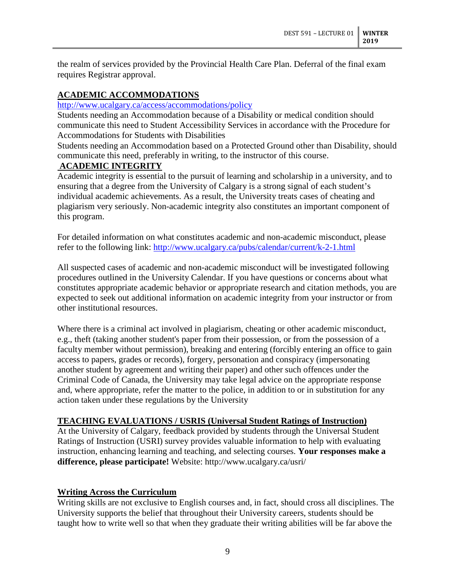the realm of services provided by the Provincial Health Care Plan. Deferral of the final exam requires Registrar approval.

# **ACADEMIC ACCOMMODATIONS**

# <http://www.ucalgary.ca/access/accommodations/policy>

Students needing an Accommodation because of a Disability or medical condition should communicate this need to Student Accessibility Services in accordance with the Procedure for Accommodations for Students with Disabilities

Students needing an Accommodation based on a Protected Ground other than Disability, should communicate this need, preferably in writing, to the instructor of this course.

# **ACADEMIC INTEGRITY**

Academic integrity is essential to the pursuit of learning and scholarship in a university, and to ensuring that a degree from the University of Calgary is a strong signal of each student's individual academic achievements. As a result, the University treats cases of cheating and plagiarism very seriously. Non-academic integrity also constitutes an important component of this program.

For detailed information on what constitutes academic and non-academic misconduct, please refer to the following link:<http://www.ucalgary.ca/pubs/calendar/current/k-2-1.html>

All suspected cases of academic and non-academic misconduct will be investigated following procedures outlined in the University Calendar. If you have questions or concerns about what constitutes appropriate academic behavior or appropriate research and citation methods, you are expected to seek out additional information on academic integrity from your instructor or from other institutional resources.

Where there is a criminal act involved in plagiarism, cheating or other academic misconduct, e.g., theft (taking another student's paper from their possession, or from the possession of a faculty member without permission), breaking and entering (forcibly entering an office to gain access to papers, grades or records), forgery, personation and conspiracy (impersonating another student by agreement and writing their paper) and other such offences under the Criminal Code of Canada, the University may take legal advice on the appropriate response and, where appropriate, refer the matter to the police, in addition to or in substitution for any action taken under these regulations by the University

# **TEACHING EVALUATIONS / USRIS (Universal Student Ratings of Instruction)**

At the University of Calgary, feedback provided by students through the Universal Student Ratings of Instruction (USRI) survey provides valuable information to help with evaluating instruction, enhancing learning and teaching, and selecting courses. **Your responses make a difference, please participate!** Website: http://www.ucalgary.ca/usri/

# **Writing Across the Curriculum**

Writing skills are not exclusive to English courses and, in fact, should cross all disciplines. The University supports the belief that throughout their University careers, students should be taught how to write well so that when they graduate their writing abilities will be far above the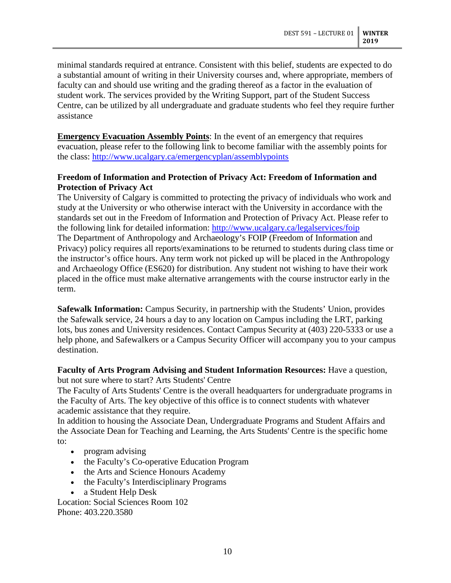minimal standards required at entrance. Consistent with this belief, students are expected to do a substantial amount of writing in their University courses and, where appropriate, members of faculty can and should use writing and the grading thereof as a factor in the evaluation of student work. The services provided by the Writing Support, part of the Student Success Centre, can be utilized by all undergraduate and graduate students who feel they require further assistance

**Emergency Evacuation Assembly Points**: In the event of an emergency that requires evacuation, please refer to the following link to become familiar with the assembly points for the class:<http://www.ucalgary.ca/emergencyplan/assemblypoints>

## **Freedom of Information and Protection of Privacy Act: Freedom of Information and Protection of Privacy Act**

The University of Calgary is committed to protecting the privacy of individuals who work and study at the University or who otherwise interact with the University in accordance with the standards set out in the Freedom of Information and Protection of Privacy Act. Please refer to the following link for detailed information:<http://www.ucalgary.ca/legalservices/foip> The Department of Anthropology and Archaeology's FOIP (Freedom of Information and Privacy) policy requires all reports/examinations to be returned to students during class time or the instructor's office hours. Any term work not picked up will be placed in the Anthropology and Archaeology Office (ES620) for distribution. Any student not wishing to have their work placed in the office must make alternative arrangements with the course instructor early in the term.

**Safewalk Information:** Campus Security, in partnership with the Students' Union, provides the Safewalk service, 24 hours a day to any location on Campus including the LRT, parking lots, bus zones and University residences. Contact Campus Security at (403) 220-5333 or use a help phone, and Safewalkers or a Campus Security Officer will accompany you to your campus destination.

**Faculty of Arts Program Advising and Student Information Resources:** Have a question, but not sure where to start? Arts Students' Centre

The Faculty of Arts Students' Centre is the overall headquarters for undergraduate programs in the Faculty of Arts. The key objective of this office is to connect students with whatever academic assistance that they require.

In addition to housing the Associate Dean, Undergraduate Programs and Student Affairs and the Associate Dean for Teaching and Learning, the Arts Students' Centre is the specific home to:

- program advising
- the Faculty's Co-operative Education Program
- the Arts and Science Honours Academy
- the Faculty's Interdisciplinary Programs
- a Student Help Desk

Location: Social Sciences Room 102 Phone: 403.220.3580